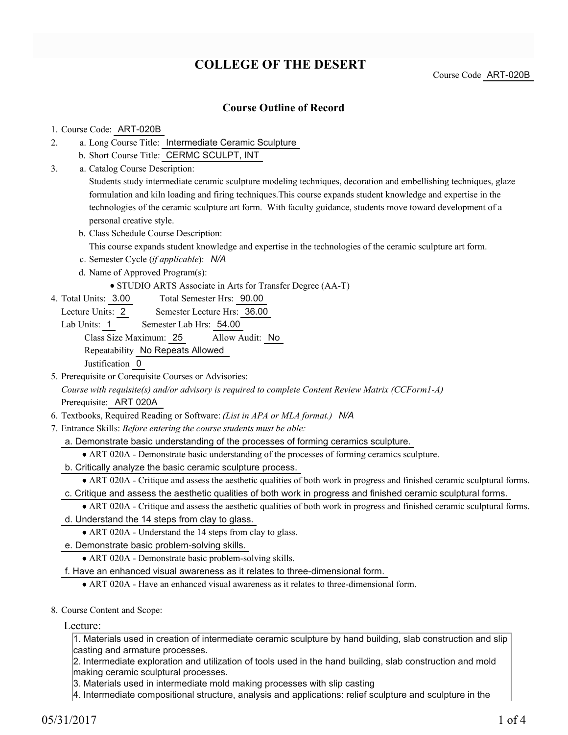# **COLLEGE OF THE DESERT**

Course Code ART-020B

### **Course Outline of Record**

#### 1. Course Code: ART-020B

- a. Long Course Title: Intermediate Ceramic Sculpture 2.
	- b. Short Course Title: CERMC SCULPT, INT
- Catalog Course Description: a. 3.

Students study intermediate ceramic sculpture modeling techniques, decoration and embellishing techniques, glaze formulation and kiln loading and firing techniques.This course expands student knowledge and expertise in the technologies of the ceramic sculpture art form. With faculty guidance, students move toward development of a personal creative style.

b. Class Schedule Course Description:

This course expands student knowledge and expertise in the technologies of the ceramic sculpture art form.

- c. Semester Cycle (*if applicable*): *N/A*
- d. Name of Approved Program(s):
	- STUDIO ARTS Associate in Arts for Transfer Degree (AA-T)
- Total Semester Hrs: 90.00 4. Total Units: 3.00
	- Lecture Units: 2 Semester Lecture Hrs: 36.00
	- Lab Units: 1 Semester Lab Hrs: 54.00

Class Size Maximum: 25 Allow Audit: No

Repeatability No Repeats Allowed

Justification 0

- 5. Prerequisite or Corequisite Courses or Advisories: *Course with requisite(s) and/or advisory is required to complete Content Review Matrix (CCForm1-A)* Prerequisite: ART 020A
- 6. Textbooks, Required Reading or Software: *(List in APA or MLA format.) N/A*
- Entrance Skills: *Before entering the course students must be able:* 7.
	- a. Demonstrate basic understanding of the processes of forming ceramics sculpture.
		- ART 020A Demonstrate basic understanding of the processes of forming ceramics sculpture.
	- b. Critically analyze the basic ceramic sculpture process.

ART 020A - Critique and assess the aesthetic qualities of both work in progress and finished ceramic sculptural forms. c. Critique and assess the aesthetic qualities of both work in progress and finished ceramic sculptural forms.

ART 020A - Critique and assess the aesthetic qualities of both work in progress and finished ceramic sculptural forms.

- d. Understand the 14 steps from clay to glass.
	- ART 020A Understand the 14 steps from clay to glass.
- e. Demonstrate basic problem-solving skills.
	- ART 020A Demonstrate basic problem-solving skills.
- f. Have an enhanced visual awareness as it relates to three-dimensional form.
	- ART 020A Have an enhanced visual awareness as it relates to three-dimensional form.
- 8. Course Content and Scope:

Lecture:

1. Materials used in creation of intermediate ceramic sculpture by hand building, slab construction and slip casting and armature processes.

2. Intermediate exploration and utilization of tools used in the hand building, slab construction and mold making ceramic sculptural processes.

3. Materials used in intermediate mold making processes with slip casting

4. Intermediate compositional structure, analysis and applications: relief sculpture and sculpture in the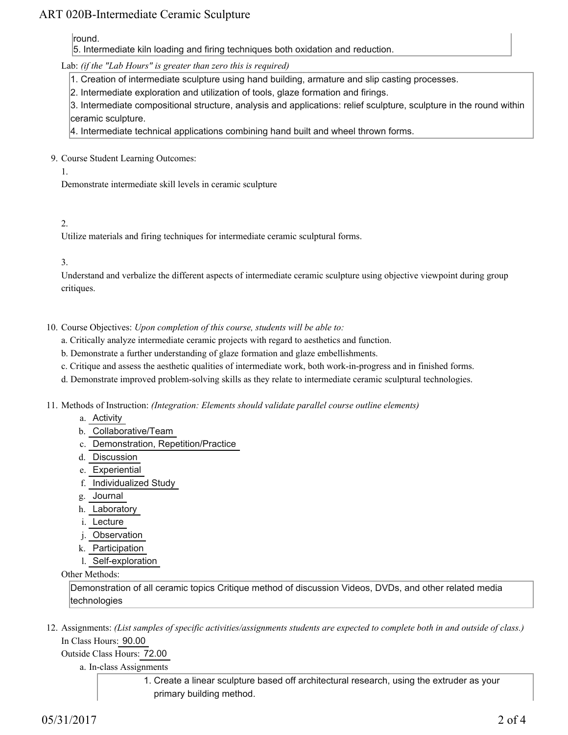## ART 020B-Intermediate Ceramic Sculpture

round.

5. Intermediate kiln loading and firing techniques both oxidation and reduction.

Lab: *(if the "Lab Hours" is greater than zero this is required)*

1. Creation of intermediate sculpture using hand building, armature and slip casting processes.

2. Intermediate exploration and utilization of tools, glaze formation and firings.

3. Intermediate compositional structure, analysis and applications: relief sculpture, sculpture in the round within ceramic sculpture.

4. Intermediate technical applications combining hand built and wheel thrown forms.

9. Course Student Learning Outcomes:

1.

Demonstrate intermediate skill levels in ceramic sculpture

2.

Utilize materials and firing techniques for intermediate ceramic sculptural forms.

3.

Understand and verbalize the different aspects of intermediate ceramic sculpture using objective viewpoint during group critiques.

- 10. Course Objectives: Upon completion of this course, students will be able to:
	- a. Critically analyze intermediate ceramic projects with regard to aesthetics and function.
	- b. Demonstrate a further understanding of glaze formation and glaze embellishments.
	- c. Critique and assess the aesthetic qualities of intermediate work, both work-in-progress and in finished forms.
	- d. Demonstrate improved problem-solving skills as they relate to intermediate ceramic sculptural technologies.

Methods of Instruction: *(Integration: Elements should validate parallel course outline elements)* 11.

- a. Activity
- b. Collaborative/Team
- c. Demonstration, Repetition/Practice
- d. Discussion
- e. Experiential
- f. Individualized Study
- g. Journal
- h. Laboratory
- i. Lecture
- j. Observation
- k. Participation
- l. Self-exploration

Other Methods:

Demonstration of all ceramic topics Critique method of discussion Videos, DVDs, and other related media technologies

12. Assignments: (List samples of specific activities/assignments students are expected to complete both in and outside of class.) In Class Hours: 90.00

Outside Class Hours: 72.00

a. In-class Assignments

1. Create a linear sculpture based off architectural research, using the extruder as your primary building method.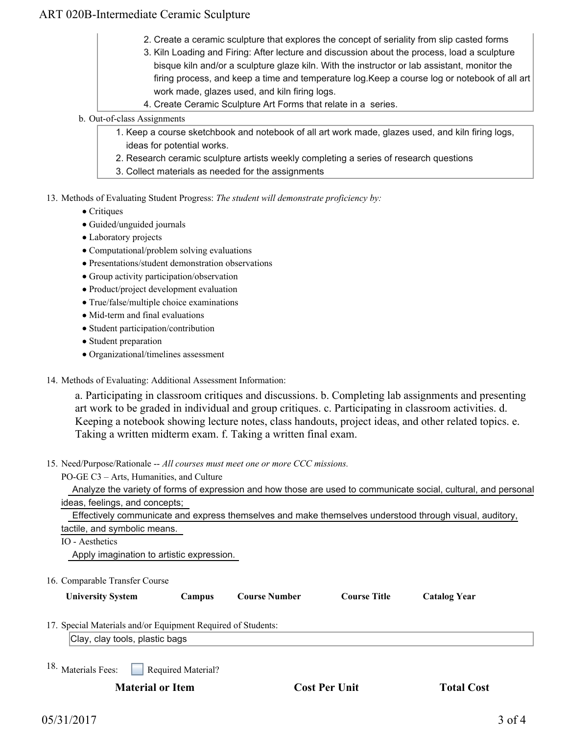## ART 020B-Intermediate Ceramic Sculpture

- 2. Create a ceramic sculpture that explores the concept of seriality from slip casted forms
- 3. Kiln Loading and Firing: After lecture and discussion about the process, load a sculpture bisque kiln and/or a sculpture glaze kiln. With the instructor or lab assistant, monitor the firing process, and keep a time and temperature log.Keep a course log or notebook of all art work made, glazes used, and kiln firing logs.
- 4. Create Ceramic Sculpture Art Forms that relate in a series.
- b. Out-of-class Assignments
	- 1. Keep a course sketchbook and notebook of all art work made, glazes used, and kiln firing logs, ideas for potential works.
	- 2. Research ceramic sculpture artists weekly completing a series of research questions
	- 3. Collect materials as needed for the assignments
- 13. Methods of Evaluating Student Progress: The student will demonstrate proficiency by:
	- Critiques
	- Guided/unguided journals
	- Laboratory projects
	- Computational/problem solving evaluations
	- Presentations/student demonstration observations
	- Group activity participation/observation
	- Product/project development evaluation
	- True/false/multiple choice examinations
	- Mid-term and final evaluations
	- Student participation/contribution
	- Student preparation
	- Organizational/timelines assessment
- 14. Methods of Evaluating: Additional Assessment Information:

a. Participating in classroom critiques and discussions. b. Completing lab assignments and presenting art work to be graded in individual and group critiques. c. Participating in classroom activities. d. Keeping a notebook showing lecture notes, class handouts, project ideas, and other related topics. e. Taking a written midterm exam. f. Taking a written final exam.

- 15. Need/Purpose/Rationale -- All courses must meet one or more CCC missions.
	- PO-GE C3 Arts, Humanities, and Culture

 Analyze the variety of forms of expression and how those are used to communicate social, cultural, and personal ideas, feelings, and concepts;

 Effectively communicate and express themselves and make themselves understood through visual, auditory, tactile, and symbolic means.

#### IO - Aesthetics

Apply imagination to artistic expression.

16. Comparable Transfer Course

| <b>University System</b> | <b>Campus</b> | Course Number | Course Title | <b>Catalog Year</b> |
|--------------------------|---------------|---------------|--------------|---------------------|

17. Special Materials and/or Equipment Required of Students:

Clay, clay tools, plastic bags

Required Material? 18. Materials Fees:

**Material or Item Cost Per Unit Total Cost Cost Per Unit Cost**